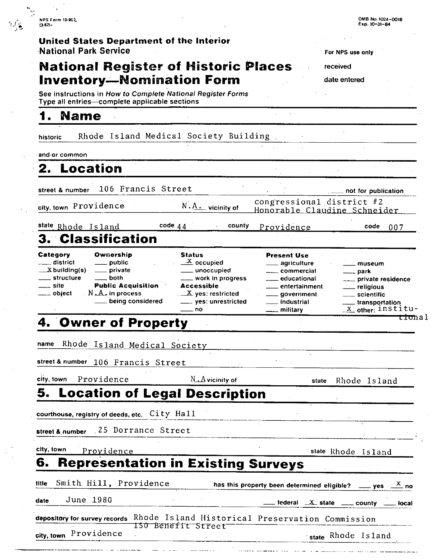**United States Department of the Interior -National Park Service** For NPS use only **National Register of Historic Places** received **Inventory-Nomination Form** date entered See instructions in How to Complete National Register Forms Type all entries-complete applicable sections **1. Name** historic Rhode Island Medical Society Building and or common **2. Location** - . . - street & number <sup>106</sup> Francis Street . **:** not for publication congressional district #2 city, town Providence  $N.A.$  vicinity of Honorable Claudine Schneider state Rhode Island code 44 county Providence code 007 **3. Classification** . . **Category Ownership Status Present Use**  $\frac{\mathbf{X}}{2}$  occupied - distriàt \_ public agriculture museum  $\mathbb{Z}$  building(s) private unoccupied commercial - park structure - both work in progress - educational private residence Public Acquisition site **Accessible** entertainment religious object <sup>N</sup> **.A.** in process  $X$  yes: restricted - government scientific being considered yes: unrestricted industrial transportation - no military  $X$  other: institu-**4. Owner of Property** International Limitation of Property name Rhode Island Medical Society street&number 106 Francis Street city, town Providence M.Avicinity of state Rhode Island **5. Location of Legal Description** . . courthouse, registry of deeds, etc.  $City$  Hall street & number . 25 Dorrance Street clty,town Providence . state Rhode Island **6. Repreèentation in Existing Surveys** . title Smith Hill, Providence has this property been determined eligible?  $\frac{x}{2}$  no yes date June 1980 **federal** \_2\_ state - county .\_.. **local** depository for survey records Rhode Island Historical Preservation Commission 150 Benefit Street city, town Providence 150 Benefit Street state Rhode Island

**0MB No 1024-0018 Exp. 70-31-84**

**NPS Form ¶D-9C. 3-62.**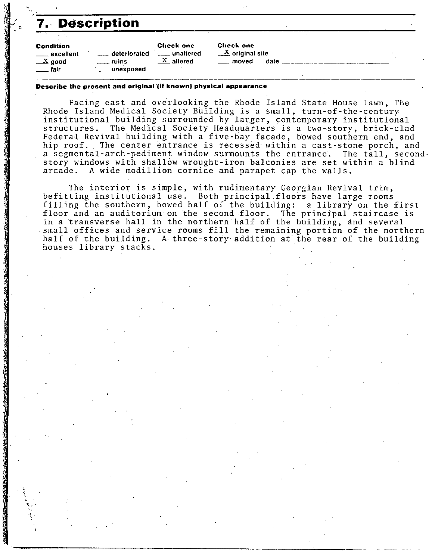# **7.\*- Description**

医心室外的 化不变异常分子 化自动电子系统 计不变换数据分类数据 化苯基苯胺 计相对位置 计位置

|  | <b>Condition</b><br><u>__</u> __ excellent<br>$\underline{X}$ good<br>fair | deteriorated<br>$\frac{1}{2}$ ruins<br>$\frac{1}{2}$ unexposed | <b>Check one</b><br><b>Election</b> unaltered<br>$X_$ altered | <b>Check one</b><br>$\underline{X}$ original site<br>e moved: mo | date |  |
|--|----------------------------------------------------------------------------|----------------------------------------------------------------|---------------------------------------------------------------|------------------------------------------------------------------|------|--|
|--|----------------------------------------------------------------------------|----------------------------------------------------------------|---------------------------------------------------------------|------------------------------------------------------------------|------|--|

### **Describe the present and original if known physical appearance**

Facing east and overlooking the Rhode Island State House lawn, The Rhode Island Medical Society Building is a small, turn-of-the-century institutional building surrounded by larger, contemporary institutional<br>structures. The Medical Society Headquarters is a two-story, brick-cla The Medical Society Headquarters is a two-story, brick-clad Federal Revival building with a five-bay facade, bowed southern end, and hip roof. The center entrance is recessed within a cast-stone porch, and <sup>a</sup> segmental-arch-pediment window surmounts the entrance. The tall, secondstory windows with shallow wrought-iron balconies are set within a blind arcade. A wide modillion cornice and parapet cap the walls.

The interior is simple, with rudimentary Georgian Revival trim, befitting institutional use. Both principal-floors have large rooms filling the southern, bowed half of the building: a library on the first floor and an auditorium on the second floor. The principal staircase is in a transverse hall in the northern half of the building, and several small offices and service rooms fill the remaining portion of the northern half of the building. A three-story addition at the rear of the building houses library stacks.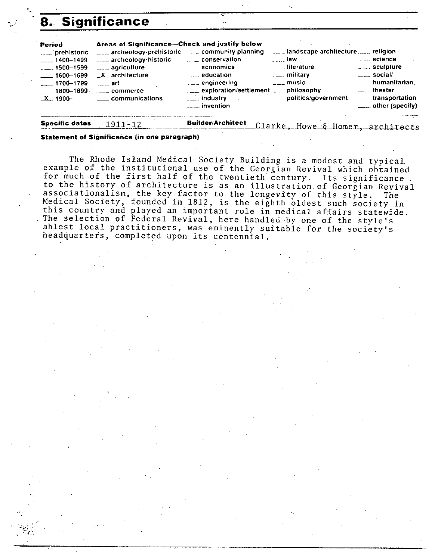## **8 Significance**

| ___ prehistoric<br>$\frac{1}{2}$ 1400–1499<br>$\frac{1}{2}$ 1500–1599<br>$\frac{1600 - 1699}{1600 - 1699}$<br>$-1700 - 1799$<br>$\overline{\phantom{a}}$ art<br>$\frac{1}{2}$ 1800–1899<br>X 1900– | $X$ architecture<br>communications | archeology-prehistoric and community planning<br>$\ldots$ conservation<br>$\ldots$ economics<br>$\mathbf{u}$ <sub>mess</sub> education<br>$1.2.2$ engineering<br>.__. exploration/settlement ____ philosophy<br>$\frac{1}{2}$ industry<br>invention | and and scape architecture religion<br><u>__</u> __ law<br><b>Example 1</b> iterature<br>$\equiv$ music<br>_____ politics/government | science<br>$\ldots$ sculpture<br>$\frac{1}{2}$ social/<br>humanitarian.<br>$\frac{1}{2}$ theater<br><u>_</u> ___ transportation<br>___ other (specify) |
|----------------------------------------------------------------------------------------------------------------------------------------------------------------------------------------------------|------------------------------------|-----------------------------------------------------------------------------------------------------------------------------------------------------------------------------------------------------------------------------------------------------|--------------------------------------------------------------------------------------------------------------------------------------|--------------------------------------------------------------------------------------------------------------------------------------------------------|

**Specific dates 1911-12 Builder/Architect** Clarke, Howe & Homer, architects

**Statement of Significance in one paragraph**

The Rhode Island Medical Society Building is <sup>a</sup> modest and typical. example of the institutional use of the Georgian Revival which obtained for much of the first half of the twentieth century. Its significance to the history of architecture is as an illustration. of Georgian Revival associationalism, the key factor to the longevity of this style. The Medical Society, founded in 1812, is the eighth oldest such society in this country and played an important role in medical affairs statewide.<br>The selection of Federal Revival, here handled by one of the style's ablest local practitioners, was eminently suitable for the society's headquarters, completed upon its centennial.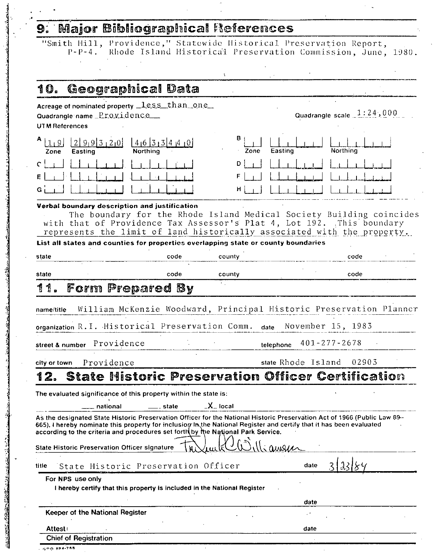#### **Major Bibliographical References**  $9.$

"Smith Hill, Providence," Statewide Historical Preservation Report,<br>P-P-4. Rhode Island Historical Preservation Commission, June, 1980.

| Geographical Data<br>10.                                                                                                                                                                                                                                                                                                                                        |                         |                        |                                |                               |  |
|-----------------------------------------------------------------------------------------------------------------------------------------------------------------------------------------------------------------------------------------------------------------------------------------------------------------------------------------------------------------|-------------------------|------------------------|--------------------------------|-------------------------------|--|
| Acreage of nominated property Less than one<br>Quadrangle name Providence                                                                                                                                                                                                                                                                                       |                         |                        |                                | Quadrangle scale $1:24$ , 000 |  |
| UTM References                                                                                                                                                                                                                                                                                                                                                  |                         |                        |                                |                               |  |
| 2993120<br>1, 9<br>Northing<br>Easting<br>Zone                                                                                                                                                                                                                                                                                                                  | $1416$ 313 4 4 10       | в<br>Zone              | Easting                        | Northing                      |  |
|                                                                                                                                                                                                                                                                                                                                                                 |                         | D                      |                                |                               |  |
|                                                                                                                                                                                                                                                                                                                                                                 |                         | F<br>н                 |                                |                               |  |
|                                                                                                                                                                                                                                                                                                                                                                 |                         |                        |                                |                               |  |
| Verbal boundary description and justification<br>The boundary for the Rhode Island Medical Society Building coincides<br>with that of Providence Tax Assessor's Plat 4, Lot 192. This boundary<br>represents the limit of land historically associated with the property.<br>List all states and counties for properties overlapping state or county boundaries |                         |                        |                                |                               |  |
|                                                                                                                                                                                                                                                                                                                                                                 |                         |                        |                                |                               |  |
| state                                                                                                                                                                                                                                                                                                                                                           | code                    | county                 |                                | code                          |  |
| state                                                                                                                                                                                                                                                                                                                                                           | code                    | county                 |                                | code                          |  |
| Form Prepared By<br>11.                                                                                                                                                                                                                                                                                                                                         |                         |                        |                                |                               |  |
| organization R.I. Historical Preservation Comm. date<br>Providence<br>street & number                                                                                                                                                                                                                                                                           |                         |                        | November 15, 1983<br>telephone | $401 - 277 - 2678$            |  |
| Providence<br>city or town                                                                                                                                                                                                                                                                                                                                      |                         |                        | state Rhode Island             | 02903                         |  |
| <b>State Historic Preservation Officer Certification</b><br>12.                                                                                                                                                                                                                                                                                                 |                         |                        |                                |                               |  |
| The evaluated significance of this property within the state is:                                                                                                                                                                                                                                                                                                |                         |                        |                                |                               |  |
| national                                                                                                                                                                                                                                                                                                                                                        | <sub>____</sub> __state | $X$ <sub>-</sub> local |                                |                               |  |
| As the designated State Historic Preservation Officer for the National Historic Preservation Act of 1966 (Public Law 89-<br>665), I hereby nominate this property for inclusion th, the National Register and certify that it has been evaluated<br>according to the criteria and procedures set forth by the National Park Service.                            |                         |                        |                                |                               |  |
| State Historic Preservation Officer signature                                                                                                                                                                                                                                                                                                                   |                         |                        | iausu                          |                               |  |
| State Historic Preservation Officer<br>title                                                                                                                                                                                                                                                                                                                    |                         |                        | date                           | 3133                          |  |
| For NPS use only<br>I hereby certify that this property is included in the National Register                                                                                                                                                                                                                                                                    |                         |                        |                                |                               |  |
| ÷.                                                                                                                                                                                                                                                                                                                                                              |                         |                        | date                           |                               |  |
| Keeper of the National Register                                                                                                                                                                                                                                                                                                                                 |                         |                        |                                |                               |  |
| Attest:                                                                                                                                                                                                                                                                                                                                                         |                         |                        | date                           |                               |  |
| <b>Chief of Registration</b>                                                                                                                                                                                                                                                                                                                                    |                         |                        |                                |                               |  |
| c ¤n 194-755                                                                                                                                                                                                                                                                                                                                                    |                         |                        |                                |                               |  |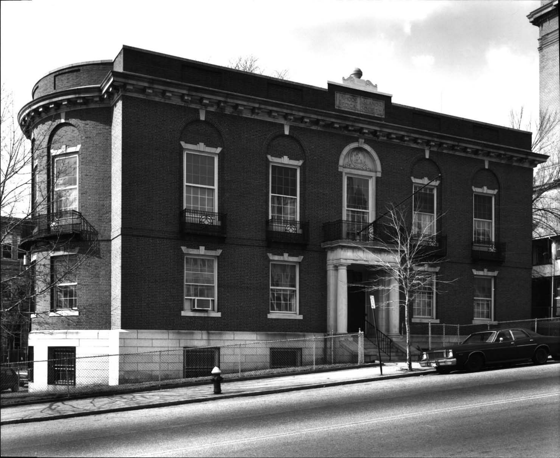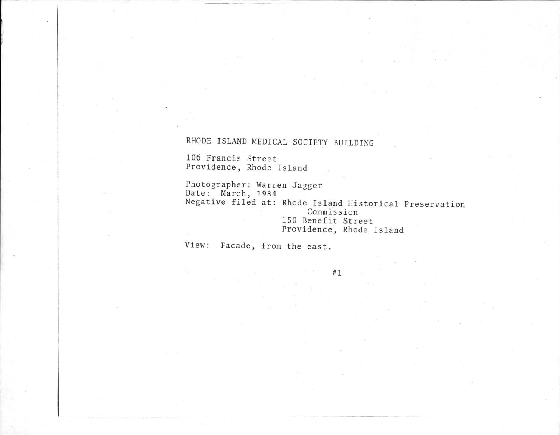### RHODE ISLAND MEDICAL SOCIETY BUILDING

106 Francis Street Providence, Rhode Island

Photographer: Warren Jagger Date: March, 1984<br>Negative filed at: Rhode Island Historical Preservation Commission 150 Benefit Street Providence, Rhode Island

View: Facade, from the east.

 $#1$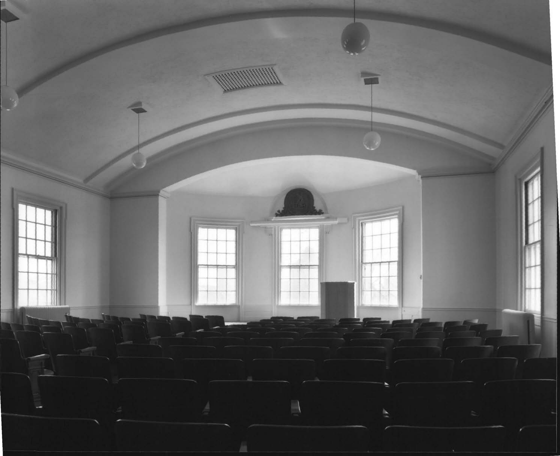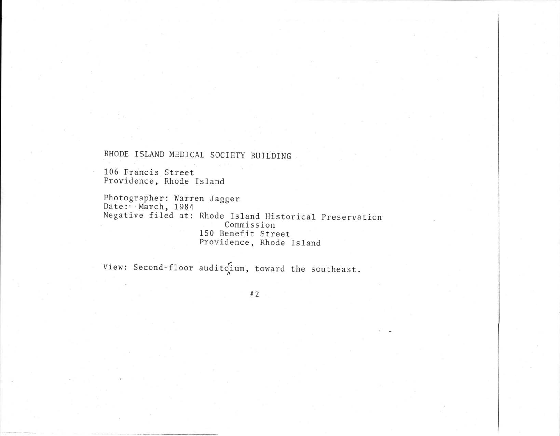RHODE ISLAND MEDICAL SOCIETY BUILDING

106 Francis Street Providence, Rhode Island

Photographer: Warren Jagger Date: March, 1984 Negative filed at: Rhode Island Historical Preservation Commission 150 Benefit Street Providence, Rhode Island

View: Second-floor auditoium, toward the southeast.

 $#2$